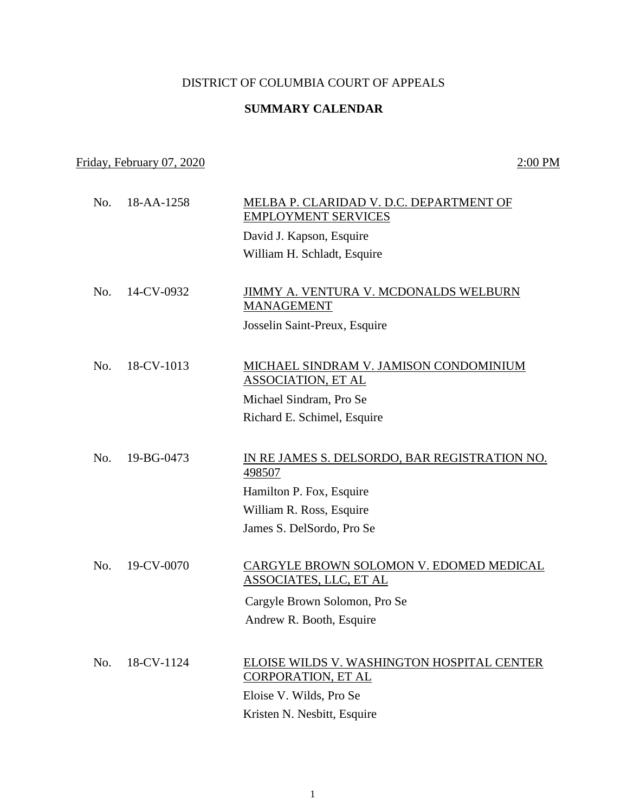## DISTRICT OF COLUMBIA COURT OF APPEALS

## **SUMMARY CALENDAR**

## Friday, February 07, 2020 2:00 PM

 No. 18-AA-1258 MELBA P. CLARIDAD V. D.C. DEPARTMENT OF EMPLOYMENT SERVICES David J. Kapson, Esquire William H. Schladt, Esquire No. 14-CV-0932 JIMMY A. VENTURA V. MCDONALDS WELBURN MANAGEMENT Josselin Saint-Preux, Esquire No. 18-CV-1013 MICHAEL SINDRAM V. JAMISON CONDOMINIUM ASSOCIATION, ET AL Michael Sindram, Pro Se Richard E. Schimel, Esquire No. 19-BG-0473 IN RE JAMES S. DELSORDO, BAR REGISTRATION NO. 498507 Hamilton P. Fox, Esquire William R. Ross, Esquire James S. DelSordo, Pro Se No. 19-CV-0070 CARGYLE BROWN SOLOMON V. EDOMED MEDICAL ASSOCIATES, LLC, ET AL Cargyle Brown Solomon, Pro Se Andrew R. Booth, Esquire No. 18-CV-1124 ELOISE WILDS V. WASHINGTON HOSPITAL CENTER CORPORATION, ET AL Eloise V. Wilds, Pro Se Kristen N. Nesbitt, Esquire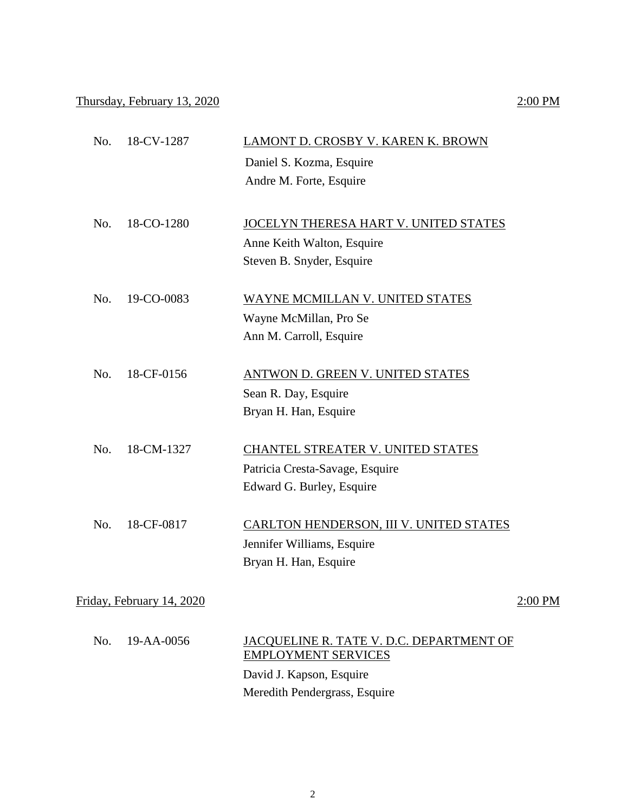## Thursday, February 13, 2020 2:00 PM

| No. 18-CV-1287 | LAMONT D. CROSBY V. KAREN K. BROWN    |
|----------------|---------------------------------------|
|                | Daniel S. Kozma, Esquire              |
|                | Andre M. Forte, Esquire               |
|                |                                       |
| No. 18-CO-1280 | JOCELYN THERESA HART V. UNITED STATES |
|                | Anne Keith Walton, Esquire            |

 No. 19-CO-0083 WAYNE MCMILLAN V. UNITED STATES Wayne McMillan, Pro Se Ann M. Carroll, Esquire

Steven B. Snyder, Esquire

- No. 18-CF-0156 ANTWON D. GREEN V. UNITED STATES Sean R. Day, Esquire Bryan H. Han, Esquire
- No. 18-CM-1327 CHANTEL STREATER V. UNITED STATES Patricia Cresta-Savage, Esquire Edward G. Burley, Esquire
- No. 18-CF-0817 CARLTON HENDERSON, III V. UNITED STATES Jennifer Williams, Esquire Bryan H. Han, Esquire

Friday, February 14, 2020 2:00 PM

| No. 19-AA-0056 | JACOUELINE R. TATE V. D.C. DEPARTMENT OF<br><b>EMPLOYMENT SERVICES</b> |
|----------------|------------------------------------------------------------------------|
|                | David J. Kapson, Esquire                                               |
|                | Meredith Pendergrass, Esquire                                          |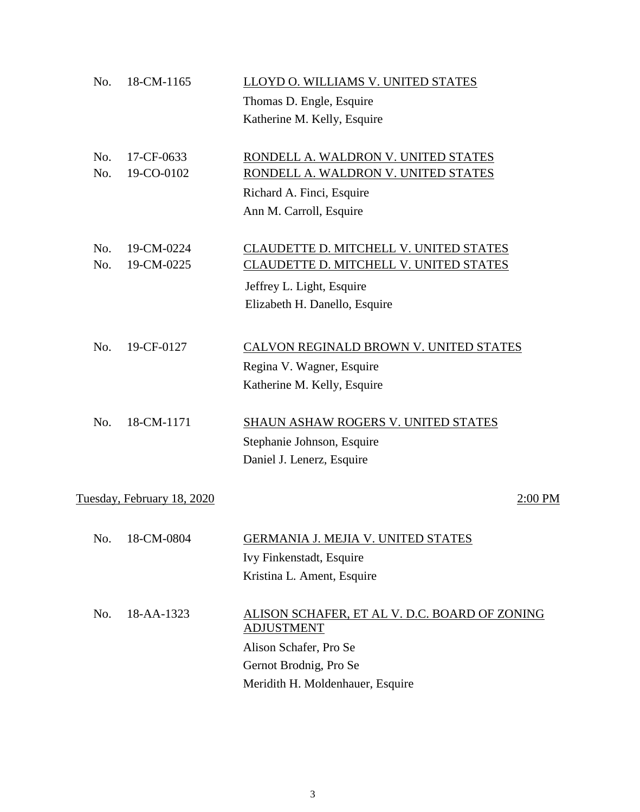| No. | 18-CM-1165                 | LLOYD O. WILLIAMS V. UNITED STATES                                 |
|-----|----------------------------|--------------------------------------------------------------------|
|     |                            | Thomas D. Engle, Esquire                                           |
|     |                            | Katherine M. Kelly, Esquire                                        |
| No. | 17-CF-0633                 | RONDELL A. WALDRON V. UNITED STATES                                |
| No. | 19-CO-0102                 | RONDELL A. WALDRON V. UNITED STATES                                |
|     |                            | Richard A. Finci, Esquire                                          |
|     |                            | Ann M. Carroll, Esquire                                            |
| No. | 19-CM-0224                 | CLAUDETTE D. MITCHELL V. UNITED STATES                             |
| No. | 19-CM-0225                 | CLAUDETTE D. MITCHELL V. UNITED STATES                             |
|     |                            | Jeffrey L. Light, Esquire                                          |
|     |                            | Elizabeth H. Danello, Esquire                                      |
| No. | 19-CF-0127                 | CALVON REGINALD BROWN V. UNITED STATES                             |
|     |                            | Regina V. Wagner, Esquire                                          |
|     |                            | Katherine M. Kelly, Esquire                                        |
| No. | 18-CM-1171                 | <b>SHAUN ASHAW ROGERS V. UNITED STATES</b>                         |
|     |                            | Stephanie Johnson, Esquire                                         |
|     |                            | Daniel J. Lenerz, Esquire                                          |
|     | Tuesday, February 18, 2020 | 2:00 PM                                                            |
| No. | 18-CM-0804                 | <b>GERMANIA J. MEJIA V. UNITED STATES</b>                          |
|     |                            | Ivy Finkenstadt, Esquire                                           |
|     |                            | Kristina L. Ament, Esquire                                         |
| No. | 18-AA-1323                 | ALISON SCHAFER, ET AL V. D.C. BOARD OF ZONING<br><b>ADJUSTMENT</b> |
|     |                            | Alison Schafer, Pro Se                                             |
|     |                            | Gernot Brodnig, Pro Se                                             |
|     |                            | Meridith H. Moldenhauer, Esquire                                   |
|     |                            |                                                                    |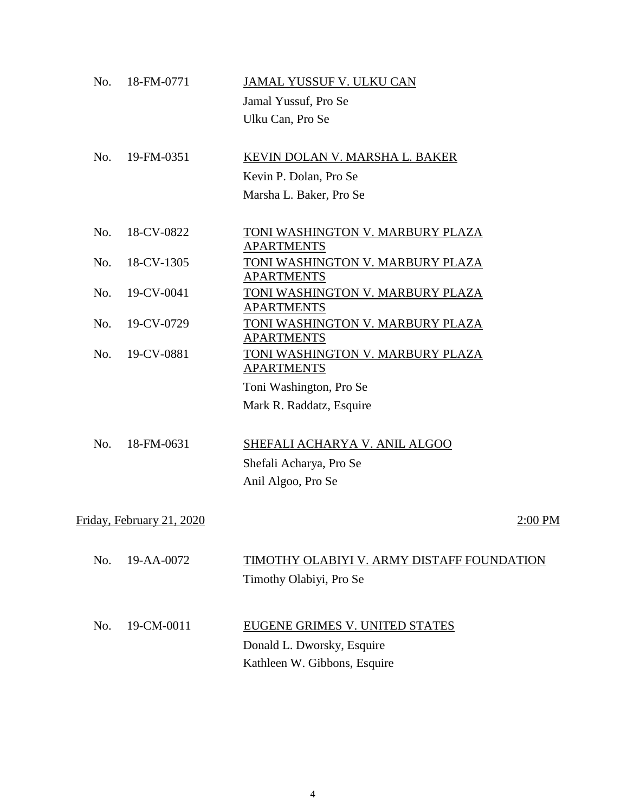| No. | 18-FM-0771                | JAMAL YUSSUF V. ULKU CAN                                     |
|-----|---------------------------|--------------------------------------------------------------|
|     |                           | Jamal Yussuf, Pro Se                                         |
|     |                           | Ulku Can, Pro Se                                             |
| No. | 19-FM-0351                | KEVIN DOLAN V. MARSHA L. BAKER                               |
|     |                           | Kevin P. Dolan, Pro Se                                       |
|     |                           | Marsha L. Baker, Pro Se                                      |
| No. | 18-CV-0822                | <u>TONI WASHINGTON V. MARBURY PLAZA</u><br><b>APARTMENTS</b> |
| No. | 18-CV-1305                | TONI WASHINGTON V. MARBURY PLAZA<br><b>APARTMENTS</b>        |
| No. | 19-CV-0041                | TONI WASHINGTON V. MARBURY PLAZA<br><u>APARTMENTS</u>        |
| No. | 19-CV-0729                | TONI WASHINGTON V. MARBURY PLAZA<br><u>APARTMENTS</u>        |
| No. | 19-CV-0881                | <u>TONI WASHINGTON V. MARBURY PLAZA</u><br><b>APARTMENTS</b> |
|     |                           | Toni Washington, Pro Se                                      |
|     |                           | Mark R. Raddatz, Esquire                                     |
| No. | 18-FM-0631                |                                                              |
|     |                           | SHEFALI ACHARYA V. ANIL ALGOO<br>Shefali Acharya, Pro Se     |
|     |                           | Anil Algoo, Pro Se                                           |
|     |                           |                                                              |
|     | Friday, February 21, 2020 | 2:00 PM                                                      |
| No. | 19-AA-0072                | TIMOTHY OLABIYI V. ARMY DISTAFF FOUNDATION                   |
|     |                           | Timothy Olabiyi, Pro Se                                      |
|     |                           |                                                              |
| No. | 19-CM-0011                | EUGENE GRIMES V. UNITED STATES                               |
|     |                           | Donald L. Dworsky, Esquire                                   |
|     |                           | Kathleen W. Gibbons, Esquire                                 |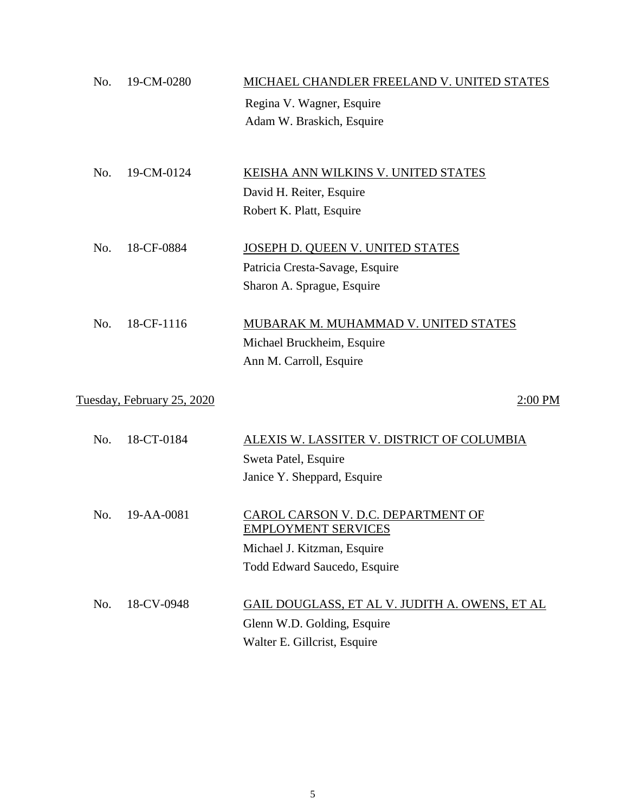| No. | 19-CM-0280                 | MICHAEL CHANDLER FREELAND V. UNITED STATES     |
|-----|----------------------------|------------------------------------------------|
|     |                            | Regina V. Wagner, Esquire                      |
|     |                            | Adam W. Braskich, Esquire                      |
|     |                            |                                                |
|     |                            |                                                |
| No. | 19-CM-0124                 | KEISHA ANN WILKINS V. UNITED STATES            |
|     |                            | David H. Reiter, Esquire                       |
|     |                            | Robert K. Platt, Esquire                       |
| No. | 18-CF-0884                 | JOSEPH D. QUEEN V. UNITED STATES               |
|     |                            | Patricia Cresta-Savage, Esquire                |
|     |                            | Sharon A. Sprague, Esquire                     |
|     |                            |                                                |
| No. | 18-CF-1116                 | MUBARAK M. MUHAMMAD V. UNITED STATES           |
|     |                            | Michael Bruckheim, Esquire                     |
|     |                            | Ann M. Carroll, Esquire                        |
|     |                            |                                                |
|     | Tuesday, February 25, 2020 | 2:00 PM                                        |
| No. | 18-CT-0184                 | ALEXIS W. LASSITER V. DISTRICT OF COLUMBIA     |
|     |                            | Sweta Patel, Esquire                           |
|     |                            | Janice Y. Sheppard, Esquire                    |
|     |                            |                                                |
| No. | 19-AA-0081                 | CAROL CARSON V. D.C. DEPARTMENT OF             |
|     |                            | <b>EMPLOYMENT SERVICES</b>                     |
|     |                            | Michael J. Kitzman, Esquire                    |
|     |                            | Todd Edward Saucedo, Esquire                   |
|     |                            |                                                |
| No. | 18-CV-0948                 | GAIL DOUGLASS, ET AL V. JUDITH A. OWENS, ET AL |
|     |                            | Glenn W.D. Golding, Esquire                    |
|     |                            | Walter E. Gillcrist, Esquire                   |